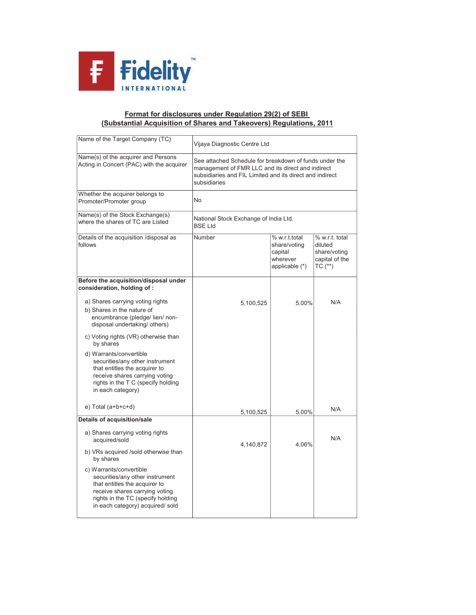

## (Substantial Acquisition of Shares and Takeovers) Regulations, 2011 Format for disclosures under Regulation 29(2) of SEBI

| Name of the Target Company (TC)                                                                                                                                                                                                                     | Vijaya Diagnostic Centre Ltd                                                                                                                                                            |                                                                        |                                                                            |  |
|-----------------------------------------------------------------------------------------------------------------------------------------------------------------------------------------------------------------------------------------------------|-----------------------------------------------------------------------------------------------------------------------------------------------------------------------------------------|------------------------------------------------------------------------|----------------------------------------------------------------------------|--|
| Name(s) of the acquirer and Persons<br>Acting in Concert (PAC) with the acquirer                                                                                                                                                                    | See attached Schedule for breakdown of funds under the<br>management of FMR LLC and its direct and indirect<br>subsidiaries and FIL Limited and its direct and indirect<br>subsidiaries |                                                                        |                                                                            |  |
| Whether the acquirer belongs to<br>Promoter/Promoter group                                                                                                                                                                                          | No                                                                                                                                                                                      |                                                                        |                                                                            |  |
| Name(s) of the Stock Exchange(s)<br>where the shares of TC are Listed                                                                                                                                                                               | National Stock Exchange of India Ltd.<br><b>BSE Ltd</b>                                                                                                                                 |                                                                        |                                                                            |  |
| Details of the acquisition /disposal as<br>follows                                                                                                                                                                                                  | Number                                                                                                                                                                                  | % w.r.t.total<br>share/voting<br>capital<br>wherever<br>applicable (*) | % w.r.t. total<br>diluted<br>share/voting<br>capital of the<br>$TC$ $(**)$ |  |
| Before the acquisition/disposal under<br>consideration, holding of:                                                                                                                                                                                 |                                                                                                                                                                                         |                                                                        |                                                                            |  |
| a) Shares carrying voting rights<br>b) Shares in the nature of<br>encumbrance (pledge/lien/non-<br>disposal undertaking/ others)<br>c) Voting rights (VR) otherwise than<br>by shares<br>d) Warrants/convertible<br>securities/any other instrument | 5,100,525                                                                                                                                                                               | 5.00%                                                                  | N/A                                                                        |  |
| that entitles the acquirer to<br>receive shares carrying voting<br>rights in the T C (specify holding<br>in each category)                                                                                                                          |                                                                                                                                                                                         |                                                                        |                                                                            |  |
| $e)$ Total (a+b+c+d)                                                                                                                                                                                                                                | 5,100,525                                                                                                                                                                               | 5.00%                                                                  | N/A                                                                        |  |
| Details of acquisition/sale<br>a) Shares carrying voting rights<br>acquired/sold                                                                                                                                                                    | 4,140,872                                                                                                                                                                               | 4.06%                                                                  | N/A                                                                        |  |
| b) VRs acquired /sold otherwise than<br>by shares<br>c) Warrants/convertible                                                                                                                                                                        |                                                                                                                                                                                         |                                                                        |                                                                            |  |
| securities/any other instrument<br>that entitles the acquirer to<br>receive shares carrying voting<br>rights in the TC (specify holding<br>in each category) acquired/ sold                                                                         |                                                                                                                                                                                         |                                                                        |                                                                            |  |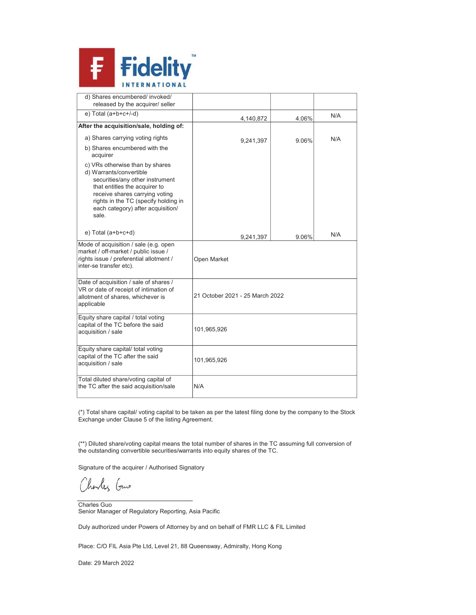

| d) Shares encumbered/ invoked/<br>released by the acquirer/ seller                                                                                                                                                                                     |                                 |       |     |
|--------------------------------------------------------------------------------------------------------------------------------------------------------------------------------------------------------------------------------------------------------|---------------------------------|-------|-----|
| $e)$ Total (a+b+c+/-d)                                                                                                                                                                                                                                 | 4,140,872                       | 4.06% | N/A |
| After the acquisition/sale, holding of:                                                                                                                                                                                                                |                                 |       |     |
| a) Shares carrying voting rights                                                                                                                                                                                                                       | 9,241,397                       | 9.06% | N/A |
| b) Shares encumbered with the<br>acquirer                                                                                                                                                                                                              |                                 |       |     |
| c) VRs otherwise than by shares<br>d) Warrants/convertible<br>securities/any other instrument<br>that entitles the acquirer to<br>receive shares carrying voting<br>rights in the TC (specify holding in<br>each category) after acquisition/<br>sale. |                                 |       |     |
| $e)$ Total (a+b+c+d)                                                                                                                                                                                                                                   | 9,241,397                       | 9.06% | N/A |
| Mode of acquisition / sale (e.g. open<br>market / off-market / public issue /<br>rights issue / preferential allotment /<br>inter-se transfer etc).                                                                                                    | Open Market                     |       |     |
| Date of acquisition / sale of shares /<br>VR or date of receipt of intimation of<br>allotment of shares, whichever is<br>applicable                                                                                                                    | 21 October 2021 - 25 March 2022 |       |     |
| Equity share capital / total voting<br>capital of the TC before the said<br>acquisition / sale                                                                                                                                                         | 101,965,926                     |       |     |
| Equity share capital/ total voting<br>capital of the TC after the said<br>acquisition / sale                                                                                                                                                           | 101,965,926                     |       |     |
| Total diluted share/voting capital of<br>the TC after the said acquisition/sale                                                                                                                                                                        | N/A                             |       |     |

(\*) Total share capital/ voting capital to be taken as per the latest filing done by the company to the Stock Exchange under Clause 5 of the listing Agreement.

(\*\*) Diluted share/voting capital means the total number of shares in the TC assuming full conversion of the outstanding convertible securities/warrants into equity shares of the TC.

Signature of the acquirer / Authorised Signatory

Charles Guns

Charles Guo Senior Manager of Regulatory Reporting, Asia Pacific

Duly authorized under Powers of Attorney by and on behalf of FMR LLC & FIL Limited

Place: C/O FIL Asia Pte Ltd, Level 21, 88 Queensway, Admiralty, Hong Kong

Date: 29 March 2022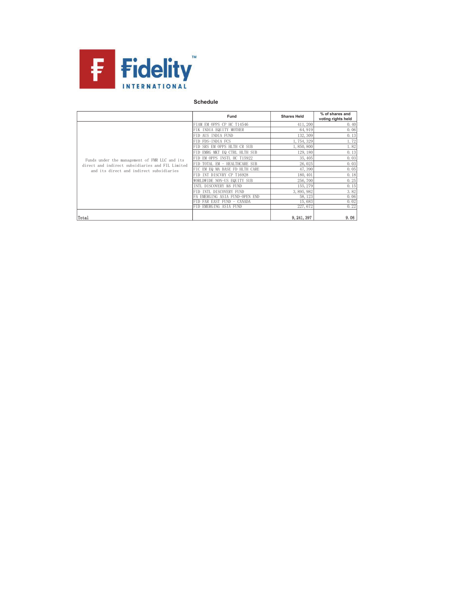

## Schedule

|                                                                                              | Fund                           | <b>Shares Held</b> | % of shares and<br>voting rights held |
|----------------------------------------------------------------------------------------------|--------------------------------|--------------------|---------------------------------------|
|                                                                                              | FIAM EM OPPS CP HC T14546      | 411, 200           | 0.40                                  |
|                                                                                              | FIK INDIA EQUITY MOTHER        | 64, 919            | 0.06                                  |
|                                                                                              | FID AUS INDIA FUND             | 132, 309           | 0.13                                  |
|                                                                                              | FID FDS-INDIA FCS              | 1,754,329          | 1.72                                  |
|                                                                                              | FID SRS EM OPPS HLTH CR SUB    | 1,850,800          | 1.82                                  |
|                                                                                              | FID EMRG MKT EQ CTRL HLTH SUB  | 129, 180           | 0.13                                  |
| Funds under the management of FMR LLC and its                                                | FID EM OPPS INSTL HC T15922    | 35, 405            | 0.03                                  |
| direct and indirect subsidiaries and FIL Limited<br>and its direct and indirect subsidiaries | FID TOTAL EM - HEALTHCARE SUB  | 26,025             | 0.03                                  |
|                                                                                              | FIC EM EQ MA BASE FD HLTH CARE | 47,390             | 0.05                                  |
|                                                                                              | FID INT DISCVRY CP T16928      | 180, 401           | 0.18                                  |
|                                                                                              | WORLDWIDE NON-US EQUITY SUB    | 256,700            | 0.25                                  |
|                                                                                              | INTL DISCOVERY K6 FUND         | 155, 279           | 0.15                                  |
|                                                                                              | FID INTL DISCOVERY FUND        | 3,895,982          | 3.82                                  |
|                                                                                              | EMERGING ASIA FUND-OPEN<br>END | 58, 123            | 0.06                                  |
|                                                                                              | FAR EAST FUND - CANADA         | 15,683             | 0.02                                  |
|                                                                                              | FID EMERGING ASIA FUND         | 227,672            | 0.22                                  |
| Total                                                                                        |                                | 9, 241, 397        | 9.06                                  |